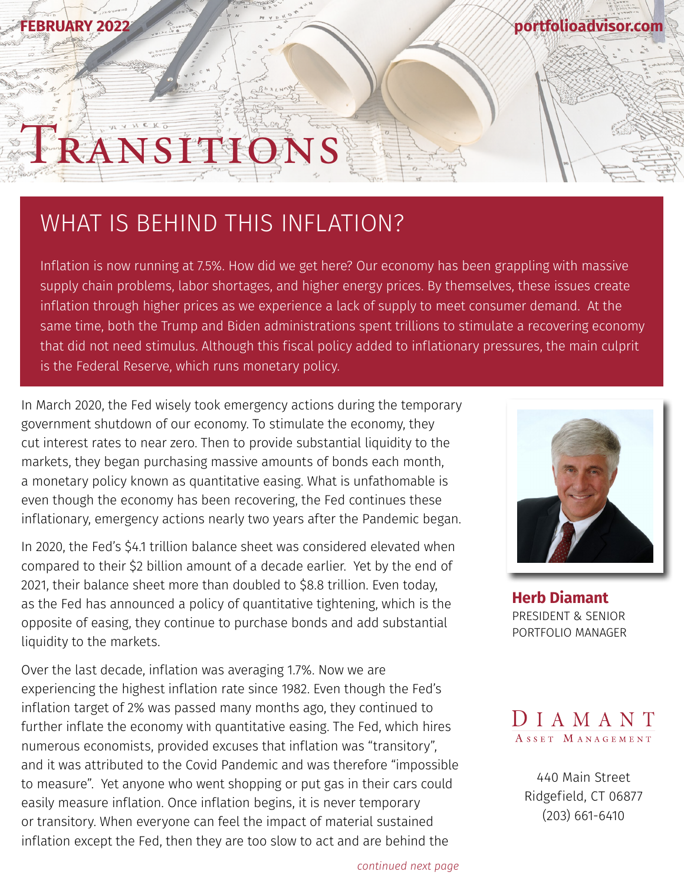## WHAT IS BEHIND THIS INFLATION?

RANSITIONS

**FEBRUARY 2022**

Inflation is now running at 7.5%. How did we get here? Our economy has been grappling with massive supply chain problems, labor shortages, and higher energy prices. By themselves, these issues create inflation through higher prices as we experience a lack of supply to meet consumer demand. At the same time, both the Trump and Biden administrations spent trillions to stimulate a recovering economy that did not need stimulus. Although this fiscal policy added to inflationary pressures, the main culprit is the Federal Reserve, which runs monetary policy.

In March 2020, the Fed wisely took emergency actions during the temporary government shutdown of our economy. To stimulate the economy, they cut interest rates to near zero. Then to provide substantial liquidity to the markets, they began purchasing massive amounts of bonds each month, a monetary policy known as quantitative easing. What is unfathomable is even though the economy has been recovering, the Fed continues these inflationary, emergency actions nearly two years after the Pandemic began.

In 2020, the Fed's \$4.1 trillion balance sheet was considered elevated when compared to their \$2 billion amount of a decade earlier. Yet by the end of 2021, their balance sheet more than doubled to \$8.8 trillion. Even today, as the Fed has announced a policy of quantitative tightening, which is the opposite of easing, they continue to purchase bonds and add substantial liquidity to the markets.

Over the last decade, inflation was averaging 1.7%. Now we are experiencing the highest inflation rate since 1982. Even though the Fed's inflation target of 2% was passed many months ago, they continued to further inflate the economy with quantitative easing. The Fed, which hires numerous economists, provided excuses that inflation was "transitory", and it was attributed to the Covid Pandemic and was therefore "impossible to measure". Yet anyone who went shopping or put gas in their cars could easily measure inflation. Once inflation begins, it is never temporary or transitory. When everyone can feel the impact of material sustained inflation except the Fed, then they are too slow to act and are behind the



**[portfolioadvisor.com](http://portfolioadvisor.com)**

**[Herb Diamant](http://portfolioadvisor.com/team)** PRESIDENT & SENIOR PORTFOLIO MANAGER



[440 Main Street](http://www.portfolioadvisor.com) Ridgefield, CT 06877 (203) 661-6410

*continued next page*